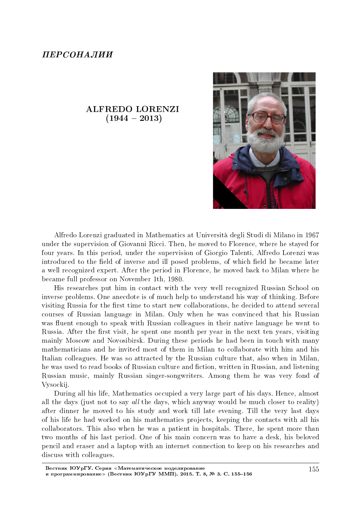## ALFREDO LORENZI  $(1944 - 2013)$



Alfredo Lorenzi graduated in Mathematics at Universita degli Studi di Milano in 1967 under the supervision of Giovanni Ricci. Then, he moved to Florence, where he stayed for four years. In this period, under the supervision of Giorgio Talenti, Alfredo Lorenzi was introduced to the field of inverse and ill posed problems, of which field he became later a well recognized expert. After the period in Florence, he moved back to Milan where he became full professor on November 1th, 1980.

His researches put him in contact with the very well recognized Russian School on inverse problems. One anecdote is of much help to understand his way of thinking. Before visiting Russia for the first time to start new collaborations, he decided to attend several courses of Russian language in Milan. Only when he was convinced that his Russian was fluent enough to speak with Russian colleagues in their native language he went to Russia. After the first visit, he spent one month per year in the next ten years, visiting mainly Moscow and Novosibirsk. During these periods he had been in touch with many mathematicians and he invited most of them in Milan to collaborate with him and his Italian colleagues. He was so attracted by the Russian culture that, also when in Milan, he was used to read books of Russian culture and fiction, written in Russian, and listening Russian music, mainly Russian singer-songwriters. Among them he was very fond of Vysockij.

During all his life, Mathematics occupied a very large part of his days. Hence, almost all the days (just not to say all the days, which anyway would be much closer to reality) after dinner he moved to his study and work till late evening. Till the very last days of his life he had worked on his mathematics projects, keeping the contacts with all his collaborators. This also when he was a patient in hospitals. There, he spent more than two months of his last period. One of his main concern was to have a desk, his beloved pencil and eraser and a laptop with an internet connection to keep on his researches and discuss with colleagues.